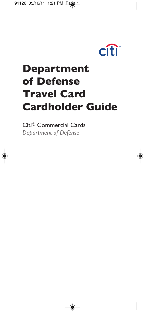

# **Department of Defense Travel Card Cardholder Guide**

◈

Citi<sup>®</sup> Commercial Cards *Department of Defense*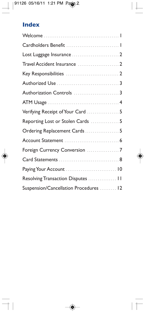# **Index**

 $\overline{\phantom{a}}$ 

| Verifying Receipt of Your Card  5      |  |
|----------------------------------------|--|
| Reporting Lost or Stolen Cards  5      |  |
| Ordering Replacement Cards  5          |  |
|                                        |  |
|                                        |  |
|                                        |  |
|                                        |  |
| Resolving Transaction Disputes  11     |  |
| Suspension/Cancellation Procedures  12 |  |

 $\overline{\bullet}$ 

 $\top$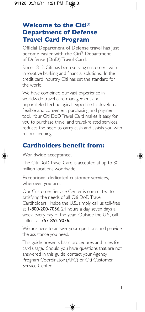# **Welcome to the Citi® Department of Defense Travel Card Program**

Official Department of Defense travel has just become easier with the Citi*®* Department of Defense (DoD) Travel Card.

Since 1812, Citi has been serving customers with innovative banking and financial solutions. In the credit card industry, Citi has set the standard for the world.

We have combined our vast experience in worldwide travel card management and unparalleled technological expertise to develop a flexible and convenient purchasing and payment tool. Your Citi DoD Travel Card makes it easy for you to purchase travel and travel-related services, reduces the need to carry cash and assists you with record keeping.

## **Cardholders benefit from:**

Worldwide acceptance.

The Citi DoD Travel Card is accepted at up to 30 million locations worldwide.

Exceptional dedicated customer services, wherever you are.

Our Customer Service Center is committed to satisfying the needs of all Citi DoD Travel Cardholders. Inside the U.S., simply call us toll-free at 1-800-200-7056, 24 hours a day, seven days a week, every day of the year. Outside the U.S., call collect at 757-852-9076.

We are here to answer your questions and provide the assistance you need.

This guide presents basic procedures and rules for card usage. Should you have questions that are not answered in this guide, contact your Agency Program Coordinator (APC) or Citi Customer Service Center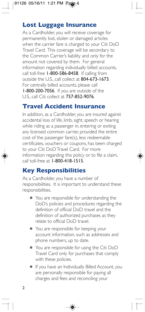## **Lost Luggage Insurance**

As a Cardholder, you will receive coverage for permanently lost, stolen or damaged articles when the carrier fare is charged to your Citi DoD Travel Card. This coverage will be secondary to the Common Carrier's liability and only for the amount not covered by them. For general information regarding individually billed accounts, call toll-free 1-800-586-8458. If calling from outside the U.S., call collect at 804-673-1673. For centrally billed accounts, please call 1-800-200-7056. If you are outside of the U.S., call Citi collect at 757-852-9076.

#### **Travel Accident Insurance**

In addition, as a Cardholder, you are insured against accidental loss of life, limb, sight, speech or hearing while riding as a passenger in, entering or exiting any licensed common carrier, provided the entire cost of the passenger fare(s), less redeemable certificates, vouchers or coupons, has been charged to your Citi DoD Travel Card. For more information regarding this policy or to file a claim, call toll-free at 1-800-418-1515.

# **KeyResponsibilities**

As a Cardholder, you have a number of responsibilities. It is important to understand these responsibilities.

- You are responsible for understanding the DoD's policies and procedures regarding the definition of official DoD travel and the definition of authorized purchases as they relate to official DoD travel.
- You are responsible for keeping your account information, such as addresses and phone numbers, up to date.
- You are responsible for using the Citi DoD Travel Card only for purchases that comply with these policies.
- **If you have an Individually Billed Account, you** are personally responsible for paying all charges and fees and reconciling your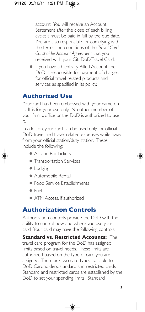account. You will receive an Account Statement after the close of each billing cycle; it must be paid in full by the due date. You are also responsible for complying with the terms and conditions of the *Travel Card Cardholder Account Agreement* thatyou received with your Citi DoD Travel Card.

If you have a Centrally Billed Account, the DoD is responsible for payment of charges for official travel-related products and services as specified in its policy.

# **Authorized Use**

Your card has been embossed with your name on it. It is for your use only. No other member of your family, office or the DoD is authorized to use it.

In addition, your card can be used only for official DoD travel and travel-related expenses while away from your official station/duty station. These include the following:

- Air and RailTickets
- Transportation Services
- Lodging
- Automobile Rental
- Food Service Establishments
- Fuel
- ATM Access, if authorized

### **Authorization Controls**

Authorization controls provide the DoD with the ability to control how and where you use your card. Your card may have the following controls:

**Standard vs. Restricted Accounts: The** travel card program for the DoD has assigned limits based on travel needs. These limits are authorized based on the type of card you are assigned. There are two card types available to DoD Cardholders: standard and restricted cards. Standard and restricted cards are established by the DoD to set your spending limits. Standard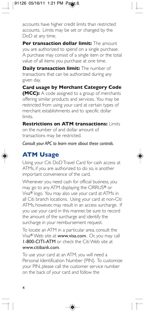accounts have higher credit limits than restricted accounts. Limits may be set or changed by the DoD at any time.

**Per transaction dollar limit:** The amount you are authorized to spend on a single purchase. A purchase may consist of a single item or the total value of all items you purchase at one time.

**Daily transaction limit:** The number of transactions that can be authorized during any given day.

**Card usage by Merchant Category Code (MCC):** A code assigned to a group of merchants offering similar products and services. You may be restricted from using your card at certain types of merchant establishments and to specific dollar limits.

**Restrictions on ATM transactions: Limits** on the number of and dollar amount of transactions may be restricted.

*Consult your APC to learn more about these controls.*

# **ATM Usage**

Using your Citi DoD Travel Card for cash access at ATMs, if you are authorized to do so, is another important convenience of the card.

Whenever you need cash for official business, you may go to any ATM displaying the CIRRUS® or Visa® logo. You may also use your card at ATMs in all Citi branch locations. Using your card at non-Citi ATMs, however, may result in an access surcharge. If you use your card in this manner, be sure to record the amount of the surcharge and identify the surcharge in your reimbursement request.

To locate an ATM in a particular area, consult the Visa® Web site at **www.visa.com**. Or, you may call I-800-CITI-ATM or check the Citi Web site at www.citibank.com.

To use your card at an ATM, you will need a Personal Identification Number (PIN). To customize your PIN, please call the customer service number on the back of your card and follow the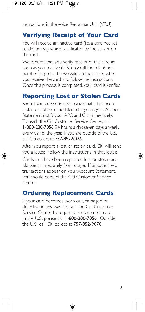instructions in the Voice Response Unit (VRU).

# **Verifying Receipt of Your Card**

You will receive an inactive card (i.e. a card not yet ready for use) which is indicated by the sticker on the card.

We request that you verify receipt of this card as soon as you receive it. Simply call the telephone number or go to the website on the sticker when you receive the card and follow the instructions. Once this process is completed, your card is verified.

# **Reporting Lost or Stolen Cards**

Should you lose your card, realize that it has been stolen or notice a fraudulent charge on your Account Statement, notify your APC and Citi immediately. To reach the Citi Customer Service Center, call 1-800-200-7056, 24 hours a day, seven days a week, every day of the year. If you are outside of the U.S., call Citi collect at 757-852-9076.

After you report a lost or stolen card, Citi will send you a letter. Follow the instructions in that letter.

Cards that have been reported lost or stolen are blocked immediately from usage. If unauthorized transactions appear on your Account Statement, you should contact the Citi Customer Service Center.

# **Ordering Replacement Cards**

If your card becomes worn out, damaged or defective in any way, contact the Citi Customer Service Center to request a replacement card. In the U.S., please call 1-800-200-7056. Outside the U.S., call Citi collect at  $757-852-9076$ .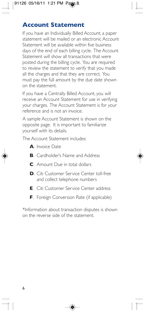## **Account Statement**

If you have an Individually Billed Account, a paper statement will be mailed or an electronic Account Statement will be available within five business days of the end of each billing cycle. The Account Statement will show all transactions that were posted during the billing cycle. You are required to review the statement to verify that you made all the charges and that they are correct. You must pay the full amount by the due date shown on the statement.

If you have a Centrally Billed Account, you will receive an Account Statement for use in verifying your charges. The Account Statement is for your reference and is not an invoice.

A sample Account Statement is shown on the opposite page. It is important to familiarize yourself with its details.

The Account Statement includes:

- **A**. Invoice Date
- **B.** Cardholder's Name and Address
- **C**. Amount Due in total dollars
- **D**. Citi Customer Service Center toll-free and collect telephone numbers
- **E**. Citi Customer Service Center address
- **F**. Foreign Conversion Rate (if applicable)

\*Information about transaction disputes is shown on the reverse side of the statement.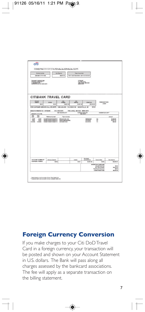|                                                                                  |                                                                          | reviserve.<br>\$4,891.00                                         | <b>Turar Amount Due</b><br>FOR 10UR RECORDS - NOT AN INVOCE |                                                          |                                                          |                                         |  |
|----------------------------------------------------------------------------------|--------------------------------------------------------------------------|------------------------------------------------------------------|-------------------------------------------------------------|----------------------------------------------------------|----------------------------------------------------------|-----------------------------------------|--|
| <b>MARINE ATTY COM</b>                                                           |                                                                          |                                                                  |                                                             |                                                          |                                                          |                                         |  |
| TRAINING CARDINALOGS<br>TRAINING COMPANY  <br>TRAINING LE BASS AUTO              |                                                                          |                                                                  |                                                             | CITILIANE<br>FUD BOX 6014<br>THE LAFES REVACA<br>FRIDANS |                                                          |                                         |  |
| <b>CITIBANK TRAVEL CARD</b>                                                      |                                                                          |                                                                  |                                                             |                                                          |                                                          |                                         |  |
| Persons<br><b>OVER</b><br><b>BANKER</b>                                          |                                                                          | A'me<br>384<br><b>Crarges</b><br>EWENCH<br><b>Deat Und</b>       |                                                             | Loser                                                    | <b>Statement Date</b>                                    |                                         |  |
| \$6.00                                                                           | 81.00                                                                    | \$4,001.02                                                       | 84.071.02<br>885,509.00                                     |                                                          |                                                          |                                         |  |
| FOR CUSTOMER SERVICE CALL OR WRITE 1-803-249-4555 P.O. BOX 4125 EIGUX FALL 6. 60 |                                                                          |                                                                  |                                                             | 57117                                                    |                                                          |                                         |  |
| <b>BEND DAYMENTS TO: CITIBANK</b>                                                |                                                                          | <b>P.O. BOX DETS</b><br>Cash Ashamir Link*                       | THE LAKES, REVADA BOSH-ASTE                                 | Audube Dealtone                                          | Available Cash Line**                                    |                                         |  |
| 6058-0377-7772-7768                                                              |                                                                          |                                                                  |                                                             | <b>BALTIMAT</b>                                          |                                                          |                                         |  |
| 繧<br>Cam-                                                                        | <b>Returnate Is more</b>                                                 | Thirt of Activity                                                |                                                             |                                                          |                                                          | Atturt                                  |  |
| 1607<br>6642<br><b>I/GID</b><br>1,447<br>100306<br>13 34 06                      | 1004071344713444707<br>12040071224447123464712<br>IDDAMATEDAAAFTESAAATIO | <b><i>ORADLE USA WE</i></b><br>TELED OWNING ABOUT<br>CAS MENTCER |                                                             | HOSHALL<br>HOUSTON<br><b>MOUSTON</b>                     | $\alpha$<br>$\overline{\tau}$<br>$\overline{\mathbf{u}}$ | 44,044,04<br>81,817,53<br><b>BAK.00</b> |  |
|                                                                                  |                                                                          |                                                                  |                                                             |                                                          |                                                          |                                         |  |
|                                                                                  |                                                                          |                                                                  |                                                             |                                                          |                                                          |                                         |  |
|                                                                                  |                                                                          |                                                                  |                                                             | <b>Auctions</b>                                          |                                                          |                                         |  |
| ACCOUNT NUMBER OF<br>CAINMENT PERADD                                             | <b>Askins beaut</b><br>81.84                                             |                                                                  | OHIO<br>85.31                                               | any Advances<br><b>M.801.88</b>                          | Terms & Pleas<br>\$1.00                                  | <b>Hex Dalards</b><br>81,881.61         |  |

# **Foreign Currency Conversion**

If you make charges to your Citi DoD Travel Card in a foreign currency, your transaction will be posted and shown on your Account Statement in U.S. dollars. The Bank will pass along all charges assessed by the bankcard associations. The fee will apply as a separate transaction on the billing statement.

◈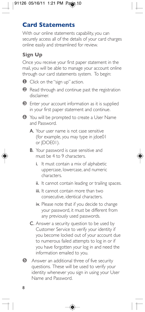## **Card Statements**

With our online statements capability, you can securely access all of the details of your card charges online easily and streamlined for review.

#### **SignUp**

Once you receive your first paper statement in the mail, you will be able to manage your account online through our card statements system. To begin:

**Ⅰ** Click on the "sign up" action.

- **②** Read through and continue past the registration disclaimer.
- **①** Enter your account information as it is supplied in your first paper statement and continue.
- **4** You will be prompted to create a User Name and Password.
	- A. Your user name is not case sensitive (for example, you may type in jdoe01 or IDOE01).
	- **B.** Your password is case sensitive and must be 4 to 9 characters.
		- i. It must contain a mix of alphabetic uppercase, lowercase, and numeric characters.
		- ii. It cannot contain leading or trailing spaces.
		- iii. It cannot contain more than two consecutive, identical characters.
		- iv. Please note that if you decide to change your password, it must be different from any previously used passwords.
	- C. Answer a security question to be used by Customer Service to verify your identity if you become locked out of your account due to numerous failed attempts to log in or if you have forgotten your log in and need the information emailed to you.
- $\Theta$  Answer an additional three of five security questions. These will be used to verify your identity whenever you sign in using your User Name and Password.

◈

8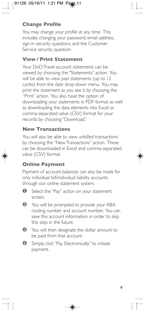#### **Change Profile**

You may change your profile at any time. This includes changing your password, email address, sign-in security questions, and the Customer Service security question.

#### **View / Print Statement**

Your DoD Travel account statements can be viewed by choosing the "Statements" action. You will be able to view past statements (up to 12 cycles) from the date drop-down menu. You may print the statement as you see it by choosing the "Print" action. You also have the option of downloading your statements in PDF format as well as downloading the data elements into Excel or comma-separated value (CSV) format for your records by choosing "Download."

#### **NewTransactions**

You will also be able to view unbilled transactions by choosing the "New Transactions" action. These can be downloaded in Excel and comma-separated value (CSV) format.

#### **Online Payment**

Payment of account balances can also be made for only individual bill/individual liability accounts through our online statement system.

- **◯** Select the "Pay" action on your statement screen.
- <sup>2</sup> You will be prompted to provide your ABA routing number and account number. You can save this account information in order to skip this step in the future.
- **<sup>6</sup>** You will then designate the dollar amount to be paid from that account.
- **4** Simply, click "Pay Electronically" to initiate payment.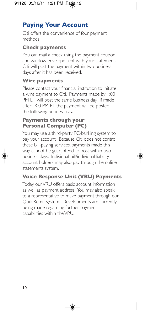# **Paying Your Account**

Citi offers the convenience of four payment methods:

#### **Check payments**

You can mail a check using the payment coupon and window envelope sent with your statement. Citi will post the payment within two business days after it has been received.

#### **Wire payments**

Please contact your financial institution to initiate a wire payment to Citi. Payments made by 1:00 PM ET will post the same business day. If made after 1:00 PM ET, the payment will be posted the following business day.

#### **Payments through your Personal Computer (PC)**

You may use a third-party PC-banking system to pay your account. Because Citi does not control these bill-paying services, payments made this way cannot be guaranteed to post within two business days. Individual bill/individual liability account holders may also pay through the online statements system.

#### **Voice Response Unit (VRU) Payments**

Today, our VRU offers basic account information as well as payment address. You may also speak to a representative to make payment through our Quik Remit system. Developments are currently being made regarding further payment capabilities within the VRU.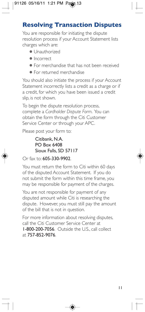## **Resolving Transaction Disputes**

You are responsible for initiating the dispute resolution process if your Account Statement lists charges which are:

- **Unauthorized**
- Incorrect
- $\bullet$  For merchandise that has not been received
- For returned merchandise

You should also initiate the process if your Account Statement incorrectly lists a credit as a charge or if a credit, for which you have been issued a credit slip, is not shown.

To begin the dispute resolution process, completea*Cardholder Dispute Form*.Youcan obtain the form through the Citi Customer Service Center or through your APC.

Please post your form to:

#### Citibank, N.A. PO Box 6408 Sioux Falls, SD 57117

Orfaxto:605-330-9902.

You must return the form to Citi within 60 days of the disputed Account Statement. If you do not submit the form within this time frame, you may be responsible for payment of the charges.

You are not responsible for payment of any disputed amount while Citi is researching the dispute. However, you must still pay the amount of the bill that is not in question.

For more information about resolving disputes, call the Citi Customer Service Center at 1-800-200-7056. Outside the U.S., call collect at 757-852-9076.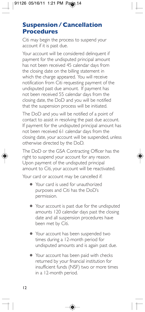## **Suspension / Cancellation Procedures**

Citi may begin the process to suspend your account if it is past due.

Your account will be considered delinquent if payment for the undisputed principal amount has not been received 45 calendar days from the closing date on the billing statement in which the charge appeared. You will receive notification from Citi requesting payment of the undisputed past due amount. If payment has not been received 55 calendar days from the closing date, the DoD and you will be notified that the suspension process will be initiated.

The DoD and you will be notified of a point of contact to assist in resolving the past due account. If payment for the undisputed principal amount has not been received 61 calendar days from the closing date, your account will be suspended, unless otherwise directed by the DoD.

The DoD or the GSA Contracting Officer has the right to suspend your account for any reason. Upon payment of the undisputed principal amount to Citi, your account will be reactivated.

Your card or account may be cancelled if:

- Your card is used for unauthorized purposes and Citi has the DoD's permission.
- Your account is past due for the undisputed amounts 120 calendar days past the closing date and all suspension procedures have been met by Citi.
- Your account has been suspended two times during a 12-month period for undisputed amounts and is again past due.
- Your account has been paid with checks returned by your financial institution for insufficient funds (NSF) two or more times in a 12-month period.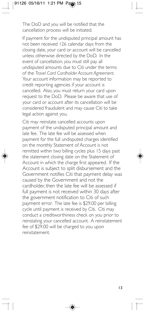The DoD and you will be notified that the cancellation process will be initiated.

If payment for the undisputed principal amount has not been received 126 calendar days from the closing date, your card or account will be cancelled unless otherwise directed by the DoD. In the event of cancellation, you must still pay all undisputed amounts due to Citi under the terms ofthe*Travel Card Cardholder Account Agreement*. Your account information may be reported to credit reporting agencies if your account is cancelled. Also, you must return your card upon request to the DoD. Please be aware that use of your card or account after its cancellation will be considered fraudulent and may cause Citi to take legal action against you.

Citi may reinstate cancelled accounts upon payment of the undisputed principal amount and late fee. The late fee will be assessed when payment for the full undisputed charges identified on the monthly Statement of Account is not remitted within two billing cycles plus 15 days past the statement closing date on the Statement of Account in which the charge first appeared. If the Account is subject to split disbursement and the Government notifies Citi that payment delay was caused by the Government and not the cardholder, then the late fee will be assessed if full payment is not received within 30 days after the government notification to Citi of such payment error. The late fee is \$29.00 per billing cycle until payment is received by Citi. Citi may conduct a creditwor thiness check on you prior to reinstating your cancelled account. A reinstatement fee of \$29.00 will be charged to you upon reinstatement.